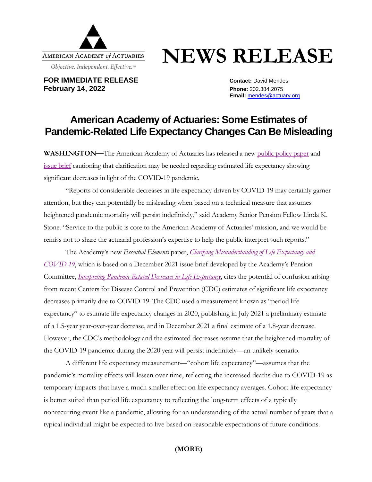

## **NEWS RELEASE**

**FOR IMMEDIATE RELEASE CONTACT:** David Mendes **February 14, 2022 Phone:** 202.384.2075

**Email:** [mendes@actuary.org](mailto:mendes@actuary.org)

## **American Academy of Actuaries: Some Estimates of Pandemic-Related Life Expectancy Changes Can Be Misleading**

**WASHINGTON—**The American Academy of Actuaries has released a new [public policy](https://www.actuary.org/sites/default/files/2022-02/EELifeExpectancy.pdf) paper and [issue brief](https://www.actuary.org/sites/default/files/2021-12/LifeExpectancyIB12.21.pdf) cautioning that clarification may be needed regarding estimated life expectancy showing significant decreases in light of the COVID-19 pandemic.

"Reports of considerable decreases in life expectancy driven by COVID-19 may certainly garner attention, but they can potentially be misleading when based on a technical measure that assumes heightened pandemic mortality will persist indefinitely," said Academy Senior Pension Fellow Linda K. Stone. "Service to the public is core to the American Academy of Actuaries' mission, and we would be remiss not to share the actuarial profession's expertise to help the public interpret such reports."

The Academy's new *Essential Elements* paper, *[Clarifying Misunderstanding of Life Expectancy and](https://www.actuary.org/sites/default/files/2022-02/EELifeExpectancy.pdf)  [COVID-19](https://www.actuary.org/sites/default/files/2022-02/EELifeExpectancy.pdf)*, which is based on a December 2021 issue brief developed by the Academy's Pension Committee, *[Interpreting Pandemic-Related Decreases in Life Expectancy](https://www.actuary.org/sites/default/files/2021-12/LifeExpectancyIB12.21.pdf)*, cites the potential of confusion arising from recent Centers for Disease Control and Prevention (CDC) estimates of significant life expectancy decreases primarily due to COVID-19. The CDC used a measurement known as "period life expectancy" to estimate life expectancy changes in 2020, publishing in July 2021 a preliminary estimate of a 1.5-year year-over-year decrease, and in December 2021 a final estimate of a 1.8-year decrease. However, the CDC's methodology and the estimated decreases assume that the heightened mortality of the COVID-19 pandemic during the 2020 year will persist indefinitely—an unlikely scenario.

A different life expectancy measurement—"cohort life expectancy"—assumes that the pandemic's mortality effects will lessen over time, reflecting the increased deaths due to COVID-19 as temporary impacts that have a much smaller effect on life expectancy averages. Cohort life expectancy is better suited than period life expectancy to reflecting the long-term effects of a typically nonrecurring event like a pandemic, allowing for an understanding of the actual number of years that a typical individual might be expected to live based on reasonable expectations of future conditions.